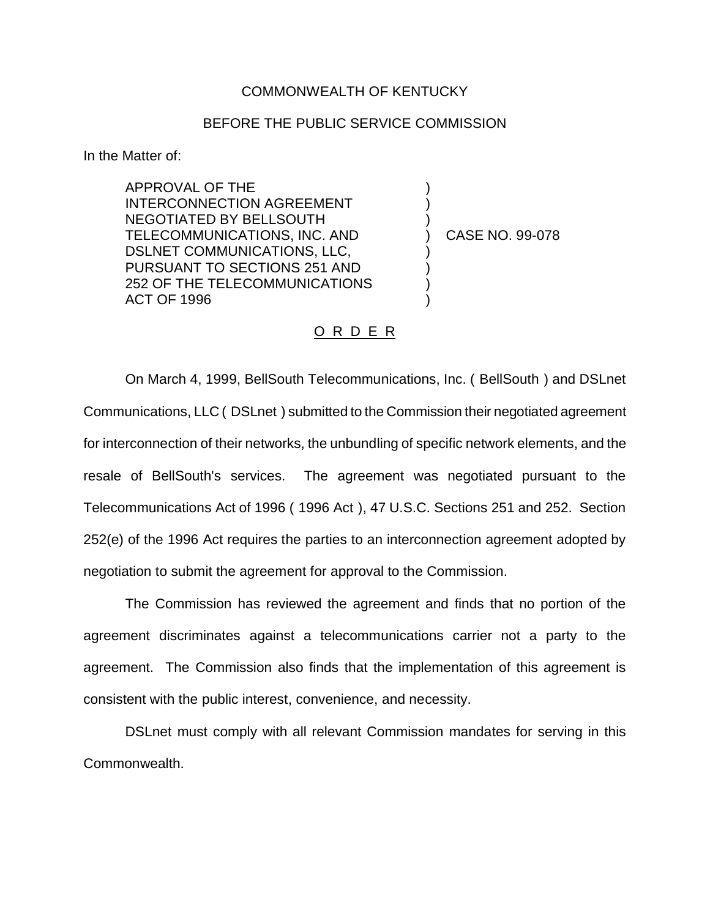## COMMONWEALTH OF KENTUCKY

## BEFORE THE PUBLIC SERVICE COMMISSION

In the Matter of:

APPROVAL OF THE INTERCONNECTION AGREEMENT NEGOTIATED BY BELLSOUTH TELECOMMUNICATIONS, INC. AND DSLNET COMMUNICATIONS, LLC, PURSUANT TO SECTIONS 251 AND 252 OF THE TELECOMMUNICATIONS ACT OF 1996

) CASE NO. 99-078

) ) )

) ) ) )

## O R D E R

On March 4, 1999, BellSouth Telecommunications, Inc. ( BellSouth ) and DSLnet Communications, LLC ( DSLnet ) submitted to the Commission their negotiated agreement for interconnection of their networks, the unbundling of specific network elements, and the resale of BellSouth's services. The agreement was negotiated pursuant to the Telecommunications Act of 1996 ( 1996 Act ), 47 U.S.C. Sections 251 and 252. Section 252(e) of the 1996 Act requires the parties to an interconnection agreement adopted by negotiation to submit the agreement for approval to the Commission.

The Commission has reviewed the agreement and finds that no portion of the agreement discriminates against a telecommunications carrier not a party to the agreement. The Commission also finds that the implementation of this agreement is consistent with the public interest, convenience, and necessity.

DSLnet must comply with all relevant Commission mandates for serving in this Commonwealth.